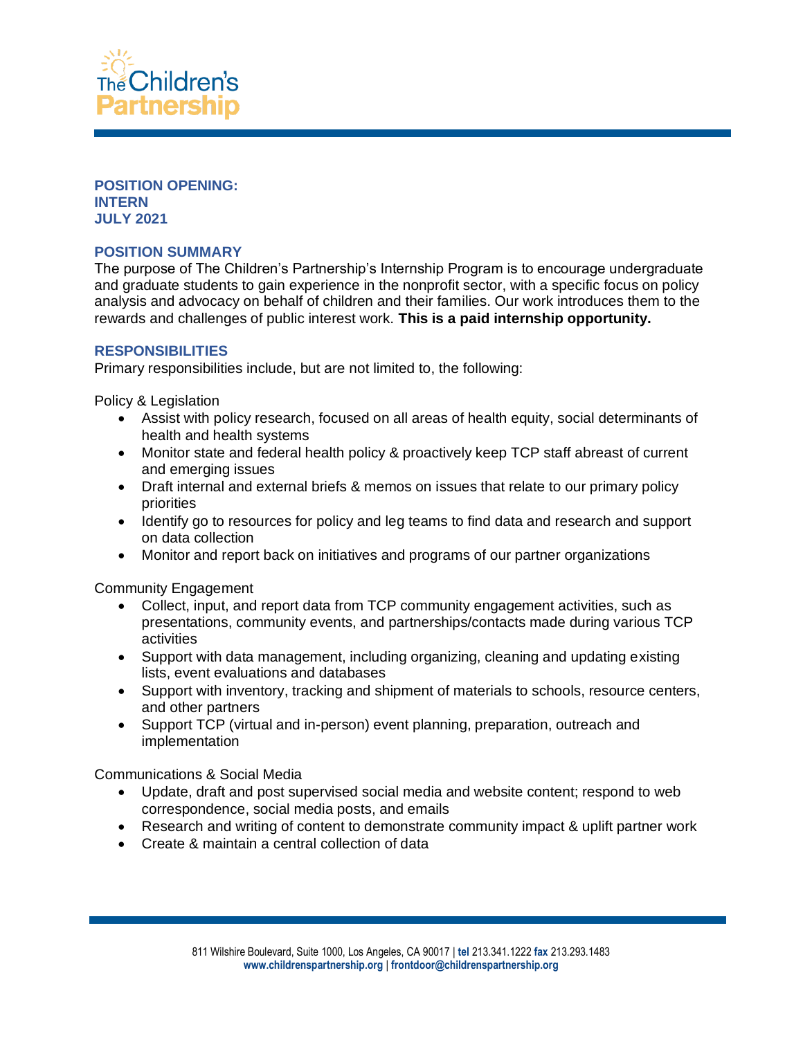

#### **POSITION OPENING: INTERN JULY 2021**

## **POSITION SUMMARY**

The purpose of The Children's Partnership's Internship Program is to encourage undergraduate and graduate students to gain experience in the nonprofit sector, with a specific focus on policy analysis and advocacy on behalf of children and their families. Our work introduces them to the rewards and challenges of public interest work. **This is a paid internship opportunity.**

### **RESPONSIBILITIES**

Primary responsibilities include, but are not limited to, the following:

Policy & Legislation

- Assist with policy research, focused on all areas of health equity, social determinants of health and health systems
- Monitor state and federal health policy & proactively keep TCP staff abreast of current and emerging issues
- Draft internal and external briefs & memos on issues that relate to our primary policy priorities
- Identify go to resources for policy and leg teams to find data and research and support on data collection
- Monitor and report back on initiatives and programs of our partner organizations

Community Engagement

- Collect, input, and report data from TCP community engagement activities, such as presentations, community events, and partnerships/contacts made during various TCP activities
- Support with data management, including organizing, cleaning and updating existing lists, event evaluations and databases
- Support with inventory, tracking and shipment of materials to schools, resource centers, and other partners
- Support TCP (virtual and in-person) event planning, preparation, outreach and implementation

Communications & Social Media

- Update, draft and post supervised social media and website content; respond to web correspondence, social media posts, and emails
- Research and writing of content to demonstrate community impact & uplift partner work
- Create & maintain a central collection of data